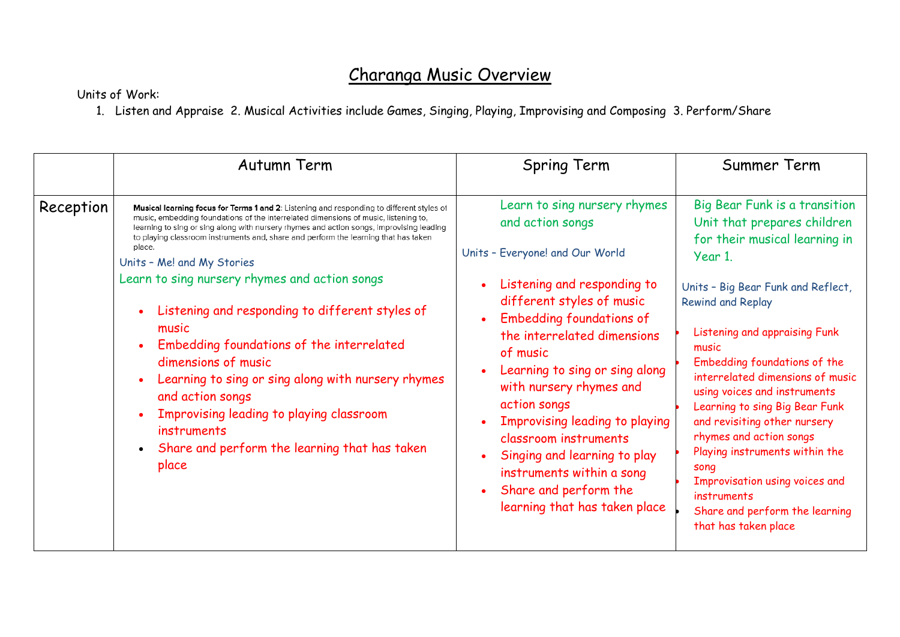## Charanga Music Overview

## Units of Work:

1. Listen and Appraise 2. Musical Activities include Games, Singing, Playing, Improvising and Composing 3. Perform/Share

|           | Autumn Term                                                                                                                                                                                                                                                                                                                                                                                                                                                                                                                                                                                                                                                                                                                                                                                              | <b>Spring Term</b>                                                                                                                                                                                                                                                                                                                                                                                                                                                                                                                               | Summer Term                                                                                                                                                                                                                                                                                                                                                                                                                                                                                                                                                                |
|-----------|----------------------------------------------------------------------------------------------------------------------------------------------------------------------------------------------------------------------------------------------------------------------------------------------------------------------------------------------------------------------------------------------------------------------------------------------------------------------------------------------------------------------------------------------------------------------------------------------------------------------------------------------------------------------------------------------------------------------------------------------------------------------------------------------------------|--------------------------------------------------------------------------------------------------------------------------------------------------------------------------------------------------------------------------------------------------------------------------------------------------------------------------------------------------------------------------------------------------------------------------------------------------------------------------------------------------------------------------------------------------|----------------------------------------------------------------------------------------------------------------------------------------------------------------------------------------------------------------------------------------------------------------------------------------------------------------------------------------------------------------------------------------------------------------------------------------------------------------------------------------------------------------------------------------------------------------------------|
| Reception | Musical learning focus for Terms 1 and 2: Listening and responding to different styles of<br>music, embedding foundations of the interrelated dimensions of music, listening to,<br>learning to sing or sing along with nursery rhymes and action songs, improvising leading<br>to playing classroom instruments and, share and perform the learning that has taken<br>place.<br>Units - Me! and My Stories<br>Learn to sing nursery rhymes and action songs<br>Listening and responding to different styles of<br>music<br>Embedding foundations of the interrelated<br>$\bullet$<br>dimensions of music<br>Learning to sing or sing along with nursery rhymes<br>and action songs<br>Improvising leading to playing classroom<br>instruments<br>Share and perform the learning that has taken<br>place | Learn to sing nursery rhymes<br>and action songs<br>Units - Everyone! and Our World<br>Listening and responding to<br>$\bullet$<br>different styles of music<br><b>Embedding foundations of</b><br>$\bullet$<br>the interrelated dimensions<br>of music<br>Learning to sing or sing along<br>$\bullet$<br>with nursery rhymes and<br>action songs<br>Improvising leading to playing<br>classroom instruments<br>Singing and learning to play<br>instruments within a song<br>Share and perform the<br>$\bullet$<br>learning that has taken place | Big Bear Funk is a transition<br>Unit that prepares children<br>for their musical learning in<br>Year 1.<br>Units - Big Bear Funk and Reflect,<br><b>Rewind and Replay</b><br>Listening and appraising Funk<br>music<br>Embedding foundations of the<br>interrelated dimensions of music<br>using voices and instruments<br>Learning to sing Big Bear Funk<br>and revisiting other nursery<br>rhymes and action songs<br>Playing instruments within the<br>song<br>Improvisation using voices and<br>instruments<br>Share and perform the learning<br>that has taken place |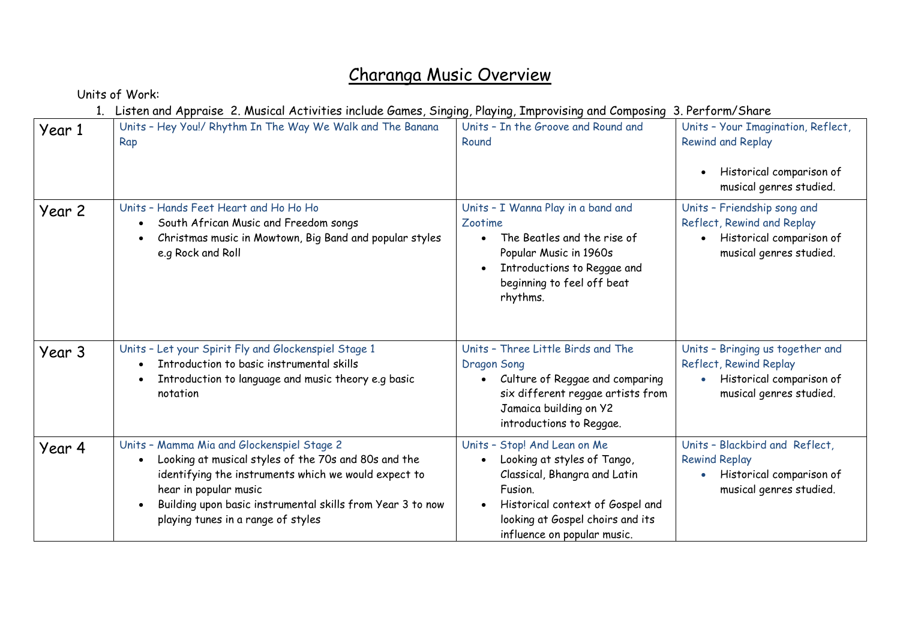## Charanga Music Overview

Units of Work:

1. Listen and Appraise 2. Musical Activities include Games, Singing, Playing, Improvising and Composing 3. Perform/Share

| Year 1 | $\sim$ . The contract of the contract of $\sim$ . The contract of the contract of the contract of the contract of $\sim$<br>Units - Hey You!/ Rhythm In The Way We Walk and The Banana<br>Rap                                                                                           | Units - In the Groove and Round and<br>Round                                                                                                                                                                  | Units - Your Imagination, Reflect,<br><b>Rewind and Replay</b><br>Historical comparison of<br>musical genres studied. |
|--------|-----------------------------------------------------------------------------------------------------------------------------------------------------------------------------------------------------------------------------------------------------------------------------------------|---------------------------------------------------------------------------------------------------------------------------------------------------------------------------------------------------------------|-----------------------------------------------------------------------------------------------------------------------|
| Year 2 | Units - Hands Feet Heart and Ho Ho Ho<br>South African Music and Freedom songs<br>Christmas music in Mowtown, Big Band and popular styles<br>e.g Rock and Roll                                                                                                                          | Units - I Wanna Play in a band and<br>Zootime<br>The Beatles and the rise of<br>$\bullet$<br>Popular Music in 1960s<br>Introductions to Reggae and<br>beginning to feel off beat<br>rhythms.                  | Units - Friendship song and<br>Reflect, Rewind and Replay<br>Historical comparison of<br>musical genres studied.      |
| Year 3 | Units - Let your Spirit Fly and Glockenspiel Stage 1<br>Introduction to basic instrumental skills<br>Introduction to language and music theory e.g basic<br>notation                                                                                                                    | Units - Three Little Birds and The<br><b>Dragon Song</b><br>Culture of Reggae and comparing<br>six different reggae artists from<br>Jamaica building on Y2<br>introductions to Reggae.                        | Units - Bringing us together and<br>Reflect, Rewind Replay<br>Historical comparison of<br>musical genres studied.     |
| Year 4 | Units - Mamma Mia and Glockenspiel Stage 2<br>Looking at musical styles of the 70s and 80s and the<br>identifying the instruments which we would expect to<br>hear in popular music<br>Building upon basic instrumental skills from Year 3 to now<br>playing tunes in a range of styles | Units - Stop! And Lean on Me<br>Looking at styles of Tango,<br>Classical, Bhangra and Latin<br>Fusion.<br>Historical context of Gospel and<br>looking at Gospel choirs and its<br>influence on popular music. | Units - Blackbird and Reflect,<br><b>Rewind Replay</b><br>Historical comparison of<br>musical genres studied.         |